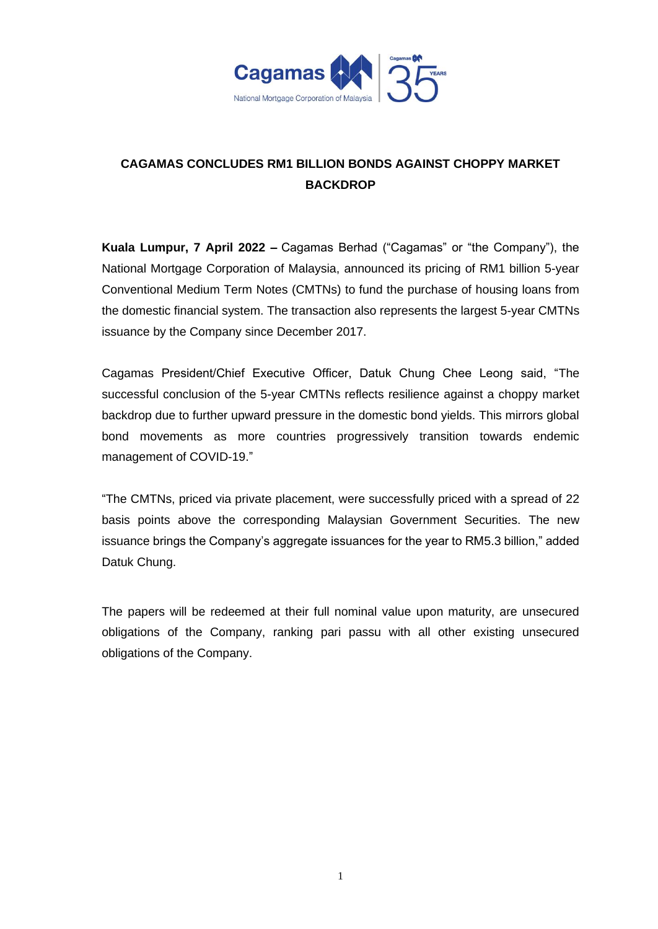

## **CAGAMAS CONCLUDES RM1 BILLION BONDS AGAINST CHOPPY MARKET BACKDROP**

**Kuala Lumpur, 7 April 2022 –** Cagamas Berhad ("Cagamas" or "the Company"), the National Mortgage Corporation of Malaysia, announced its pricing of RM1 billion 5-year Conventional Medium Term Notes (CMTNs) to fund the purchase of housing loans from the domestic financial system. The transaction also represents the largest 5-year CMTNs issuance by the Company since December 2017.

Cagamas President/Chief Executive Officer, Datuk Chung Chee Leong said, "The successful conclusion of the 5-year CMTNs reflects resilience against a choppy market backdrop due to further upward pressure in the domestic bond yields. This mirrors global bond movements as more countries progressively transition towards endemic management of COVID-19."

"The CMTNs, priced via private placement, were successfully priced with a spread of 22 basis points above the corresponding Malaysian Government Securities. The new issuance brings the Company's aggregate issuances for the year to RM5.3 billion," added Datuk Chung.

The papers will be redeemed at their full nominal value upon maturity, are unsecured obligations of the Company, ranking pari passu with all other existing unsecured obligations of the Company.